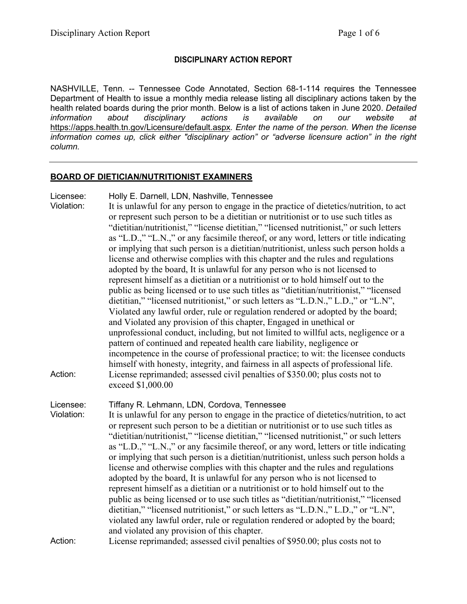# **DISCIPLINARY ACTION REPORT**

NASHVILLE, Tenn. -- Tennessee Code Annotated, Section 68-1-114 requires the Tennessee Department of Health to issue a monthly media release listing all disciplinary actions taken by the health related boards during the prior month. Below is a list of actions taken in June 2020. *Detailed*  disciplinary actions is available on our website at <https://apps.health.tn.gov/Licensure/default.aspx>*. Enter the name of the person. When the license information comes up, click either "disciplinary action" or "adverse licensure action" in the right column.*

### **BOARD OF DIETICIAN/NUTRITIONIST EXAMINERS**

| Licensee:<br>Violation: | Holly E. Darnell, LDN, Nashville, Tennessee<br>It is unlawful for any person to engage in the practice of dietetics/nutrition, to act<br>or represent such person to be a dietitian or nutritionist or to use such titles as<br>"dietitian/nutritionist," "license dietitian," "licensed nutritionist," or such letters<br>as "L.D.," "L.N.," or any facsimile thereof, or any word, letters or title indicating<br>or implying that such person is a dietitian/nutritionist, unless such person holds a<br>license and otherwise complies with this chapter and the rules and regulations<br>adopted by the board, It is unlawful for any person who is not licensed to<br>represent himself as a dietitian or a nutritionist or to hold himself out to the<br>public as being licensed or to use such titles as "dietitian/nutritionist," "licensed<br>dietitian," "licensed nutritionist," or such letters as "L.D.N.," L.D.," or "L.N",                                                                                                                                   |
|-------------------------|-------------------------------------------------------------------------------------------------------------------------------------------------------------------------------------------------------------------------------------------------------------------------------------------------------------------------------------------------------------------------------------------------------------------------------------------------------------------------------------------------------------------------------------------------------------------------------------------------------------------------------------------------------------------------------------------------------------------------------------------------------------------------------------------------------------------------------------------------------------------------------------------------------------------------------------------------------------------------------------------------------------------------------------------------------------------------------|
| Action:                 | Violated any lawful order, rule or regulation rendered or adopted by the board;<br>and Violated any provision of this chapter, Engaged in unethical or<br>unprofessional conduct, including, but not limited to willful acts, negligence or a<br>pattern of continued and repeated health care liability, negligence or<br>incompetence in the course of professional practice; to wit: the licensee conducts<br>himself with honesty, integrity, and fairness in all aspects of professional life.<br>License reprimanded; assessed civil penalties of \$350.00; plus costs not to<br>exceed \$1,000.00                                                                                                                                                                                                                                                                                                                                                                                                                                                                      |
| Licensee:<br>Violation: | Tiffany R. Lehmann, LDN, Cordova, Tennessee<br>It is unlawful for any person to engage in the practice of dietetics/nutrition, to act<br>or represent such person to be a dietitian or nutritionist or to use such titles as<br>"dietitian/nutritionist," "license dietitian," "licensed nutritionist," or such letters<br>as "L.D.," "L.N.," or any facsimile thereof, or any word, letters or title indicating<br>or implying that such person is a dietitian/nutritionist, unless such person holds a<br>license and otherwise complies with this chapter and the rules and regulations<br>adopted by the board, It is unlawful for any person who is not licensed to<br>represent himself as a dietitian or a nutritionist or to hold himself out to the<br>public as being licensed or to use such titles as "dietitian/nutritionist," "licensed<br>dietitian," "licensed nutritionist," or such letters as "L.D.N.," L.D.," or "L.N",<br>violated any lawful order, rule or regulation rendered or adopted by the board;<br>and violated any provision of this chapter. |
| Action:                 | License reprimanded; assessed civil penalties of \$950.00; plus costs not to                                                                                                                                                                                                                                                                                                                                                                                                                                                                                                                                                                                                                                                                                                                                                                                                                                                                                                                                                                                                  |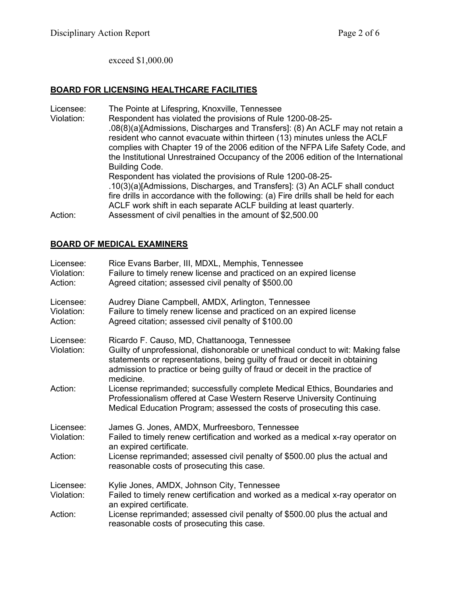exceed \$1,000.00

### **BOARD FOR LICENSING HEALTHCARE FACILITIES**

Licensee: The Pointe at Lifespring, Knoxville, Tennessee<br>Violation: Respondent has violated the provisions of Rule Respondent has violated the provisions of Rule 1200-08-25-.08(8)(a)[Admissions, Discharges and Transfers]: (8) An ACLF may not retain a resident who cannot evacuate within thirteen (13) minutes unless the ACLF complies with Chapter 19 of the 2006 edition of the NFPA Life Safety Code, and the Institutional Unrestrained Occupancy of the 2006 edition of the International Building Code. Respondent has violated the provisions of Rule 1200-08-25- .10(3)(a)[Admissions, Discharges, and Transfers]: (3) An ACLF shall conduct fire drills in accordance with the following: (a) Fire drills shall be held for each ACLF work shift in each separate ACLF building at least quarterly. Action: Assessment of civil penalties in the amount of \$2,500.00

## **BOARD OF MEDICAL EXAMINERS**

| Licensee:<br>Violation:<br>Action: | Rice Evans Barber, III, MDXL, Memphis, Tennessee<br>Failure to timely renew license and practiced on an expired license<br>Agreed citation; assessed civil penalty of \$500.00                                                                                                                              |
|------------------------------------|-------------------------------------------------------------------------------------------------------------------------------------------------------------------------------------------------------------------------------------------------------------------------------------------------------------|
| Licensee:<br>Violation:<br>Action: | Audrey Diane Campbell, AMDX, Arlington, Tennessee<br>Failure to timely renew license and practiced on an expired license<br>Agreed citation; assessed civil penalty of \$100.00                                                                                                                             |
| Licensee:<br>Violation:            | Ricardo F. Causo, MD, Chattanooga, Tennessee<br>Guilty of unprofessional, dishonorable or unethical conduct to wit: Making false<br>statements or representations, being guilty of fraud or deceit in obtaining<br>admission to practice or being guilty of fraud or deceit in the practice of<br>medicine. |
| Action:                            | License reprimanded; successfully complete Medical Ethics, Boundaries and<br>Professionalism offered at Case Western Reserve University Continuing<br>Medical Education Program; assessed the costs of prosecuting this case.                                                                               |
| Licensee:<br>Violation:            | James G. Jones, AMDX, Murfreesboro, Tennessee<br>Failed to timely renew certification and worked as a medical x-ray operator on<br>an expired certificate.                                                                                                                                                  |
| Action:                            | License reprimanded; assessed civil penalty of \$500.00 plus the actual and<br>reasonable costs of prosecuting this case.                                                                                                                                                                                   |
| Licensee:<br>Violation:            | Kylie Jones, AMDX, Johnson City, Tennessee<br>Failed to timely renew certification and worked as a medical x-ray operator on<br>an expired certificate.                                                                                                                                                     |
| Action:                            | License reprimanded; assessed civil penalty of \$500.00 plus the actual and<br>reasonable costs of prosecuting this case.                                                                                                                                                                                   |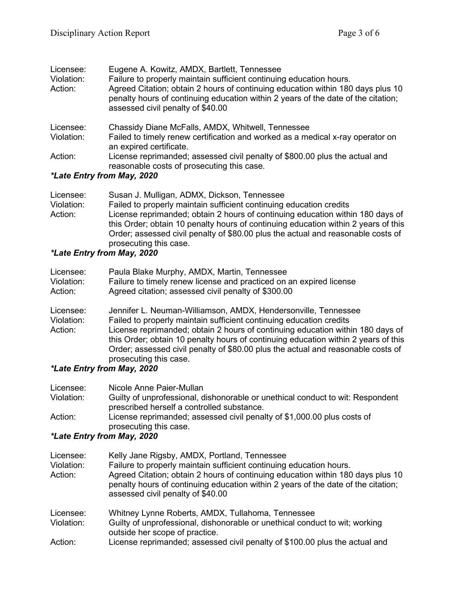| Licensee:  | Eugene A. Kowitz, AMDX, Bartlett, Tennessee                                                                                                                                                               |
|------------|-----------------------------------------------------------------------------------------------------------------------------------------------------------------------------------------------------------|
| Violation: | Failure to properly maintain sufficient continuing education hours.                                                                                                                                       |
| Action:    | Agreed Citation; obtain 2 hours of continuing education within 180 days plus 10<br>penalty hours of continuing education within 2 years of the date of the citation;<br>assessed civil penalty of \$40.00 |
| Licensee:  | Chassidy Diane McFalls, AMDX, Whitwell, Tennessee                                                                                                                                                         |
| Violation: | Failed to timely renew certification and worked as a medical x-ray operator on<br>an expired certificate.                                                                                                 |
| Action:    | License reprimanded; assessed civil penalty of \$800.00 plus the actual and<br>reasonable costs of prosecuting this case.                                                                                 |
|            | *1 ata Entry from Mou 2020                                                                                                                                                                                |

## *\*Late Entry from May, 2020*

| Licensee:  | Susan J. Mulligan, ADMX, Dickson, Tennessee                                                                                                                                                                                                                                        |
|------------|------------------------------------------------------------------------------------------------------------------------------------------------------------------------------------------------------------------------------------------------------------------------------------|
| Violation: | Failed to properly maintain sufficient continuing education credits                                                                                                                                                                                                                |
| Action:    | License reprimanded; obtain 2 hours of continuing education within 180 days of<br>this Order; obtain 10 penalty hours of continuing education within 2 years of this<br>Order; assessed civil penalty of \$80.00 plus the actual and reasonable costs of<br>prosecuting this case. |

# *\*Late Entry from May, 2020*

| Licensee:<br>Violation:<br>Action: | Paula Blake Murphy, AMDX, Martin, Tennessee<br>Failure to timely renew license and practiced on an expired license<br>Agreed citation; assessed civil penalty of \$300.00                                                                                                                                                                                                                         |
|------------------------------------|---------------------------------------------------------------------------------------------------------------------------------------------------------------------------------------------------------------------------------------------------------------------------------------------------------------------------------------------------------------------------------------------------|
| Licensee:<br>Violation:<br>Action: | Jennifer L. Neuman-Williamson, AMDX, Hendersonville, Tennessee<br>Failed to properly maintain sufficient continuing education credits<br>License reprimanded; obtain 2 hours of continuing education within 180 days of<br>this Order; obtain 10 penalty hours of continuing education within 2 years of this<br>Order; assessed civil penalty of \$80.00 plus the actual and reasonable costs of |
|                                    | prosecuting this case.                                                                                                                                                                                                                                                                                                                                                                            |
|                                    | *I ata Entry from May 2020                                                                                                                                                                                                                                                                                                                                                                        |

### *\*Late Entry from May, 2020*

| Licensee:  | Nicole Anne Paier-Mullan                                                       |
|------------|--------------------------------------------------------------------------------|
| Violation: | Guilty of unprofessional, dishonorable or unethical conduct to wit: Respondent |
|            | prescribed herself a controlled substance.                                     |
| Action:    | License reprimanded; assessed civil penalty of \$1,000.00 plus costs of        |
|            | prosecuting this case.                                                         |

# *\*Late Entry from May, 2020*

| Licensee:<br>Violation:<br>Action: | Kelly Jane Rigsby, AMDX, Portland, Tennessee<br>Failure to properly maintain sufficient continuing education hours.<br>Agreed Citation; obtain 2 hours of continuing education within 180 days plus 10<br>penalty hours of continuing education within 2 years of the date of the citation;<br>assessed civil penalty of \$40.00 |
|------------------------------------|----------------------------------------------------------------------------------------------------------------------------------------------------------------------------------------------------------------------------------------------------------------------------------------------------------------------------------|
| Licensee:<br>Violation:            | Whitney Lynne Roberts, AMDX, Tullahoma, Tennessee<br>Guilty of unprofessional, dishonorable or unethical conduct to wit; working                                                                                                                                                                                                 |
| Action:                            | outside her scope of practice.<br>License reprimanded; assessed civil penalty of \$100.00 plus the actual and                                                                                                                                                                                                                    |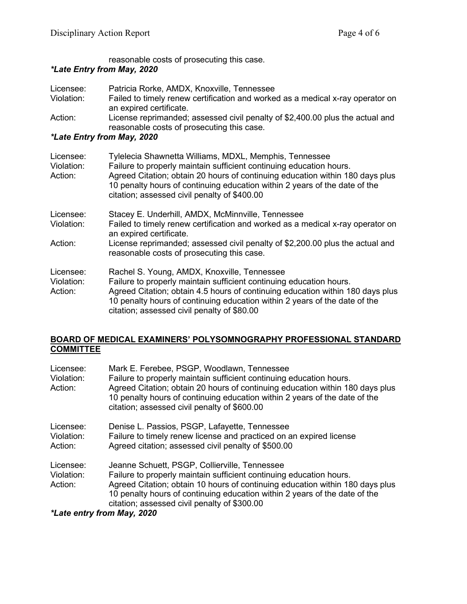reasonable costs of prosecuting this case.

# *\*Late Entry from May, 2020*

| Licensee:  | Patricia Rorke, AMDX, Knoxville, Tennessee                                     |
|------------|--------------------------------------------------------------------------------|
| Violation: | Failed to timely renew certification and worked as a medical x-ray operator on |
|            | an expired certificate.                                                        |
| Action:    | License reprimanded; assessed civil penalty of \$2,400.00 plus the actual and  |
|            | reasonable costs of prosecuting this case.                                     |

# *\*Late Entry from May, 2020*

| Licensee:<br>Violation:<br>Action: | Tylelecia Shawnetta Williams, MDXL, Memphis, Tennessee<br>Failure to properly maintain sufficient continuing education hours.<br>Agreed Citation; obtain 20 hours of continuing education within 180 days plus<br>10 penalty hours of continuing education within 2 years of the date of the<br>citation; assessed civil penalty of \$400.00 |
|------------------------------------|----------------------------------------------------------------------------------------------------------------------------------------------------------------------------------------------------------------------------------------------------------------------------------------------------------------------------------------------|
| Licensee:                          | Stacey E. Underhill, AMDX, McMinnville, Tennessee                                                                                                                                                                                                                                                                                            |
| Violation:                         | Failed to timely renew certification and worked as a medical x-ray operator on<br>an expired certificate.                                                                                                                                                                                                                                    |
| Action:                            | License reprimanded; assessed civil penalty of \$2,200.00 plus the actual and<br>reasonable costs of prosecuting this case.                                                                                                                                                                                                                  |
| Licensee:                          | Rachel S. Young, AMDX, Knoxville, Tennessee                                                                                                                                                                                                                                                                                                  |
| Violation:<br>Action:              | Failure to properly maintain sufficient continuing education hours.<br>Agreed Citation; obtain 4.5 hours of continuing education within 180 days plus                                                                                                                                                                                        |
|                                    | 10 penalty hours of continuing education within 2 years of the date of the                                                                                                                                                                                                                                                                   |
|                                    | citation; assessed civil penalty of \$80.00                                                                                                                                                                                                                                                                                                  |

#### **BOARD OF MEDICAL EXAMINERS' POLYSOMNOGRAPHY PROFESSIONAL STANDARD COMMITTEE**

| Licensee:<br>Violation:<br>Action: | Mark E. Ferebee, PSGP, Woodlawn, Tennessee<br>Failure to properly maintain sufficient continuing education hours.<br>Agreed Citation; obtain 20 hours of continuing education within 180 days plus<br>10 penalty hours of continuing education within 2 years of the date of the<br>citation; assessed civil penalty of \$600.00    |
|------------------------------------|-------------------------------------------------------------------------------------------------------------------------------------------------------------------------------------------------------------------------------------------------------------------------------------------------------------------------------------|
| Licensee:<br>Violation:<br>Action: | Denise L. Passios, PSGP, Lafayette, Tennessee<br>Failure to timely renew license and practiced on an expired license<br>Agreed citation; assessed civil penalty of \$500.00                                                                                                                                                         |
| Licensee:<br>Violation:<br>Action: | Jeanne Schuett, PSGP, Collierville, Tennessee<br>Failure to properly maintain sufficient continuing education hours.<br>Agreed Citation; obtain 10 hours of continuing education within 180 days plus<br>10 penalty hours of continuing education within 2 years of the date of the<br>citation; assessed civil penalty of \$300.00 |
| *Late entry from May, 2020         |                                                                                                                                                                                                                                                                                                                                     |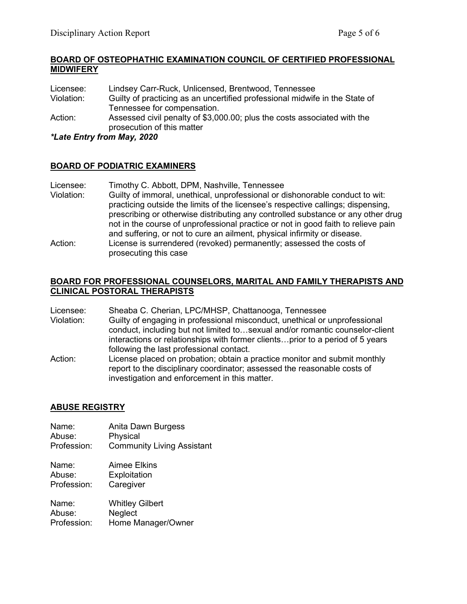### **BOARD OF OSTEOPHATHIC EXAMINATION COUNCIL OF CERTIFIED PROFESSIONAL MIDWIFERY**

| Licensee:  | Lindsey Carr-Ruck, Unlicensed, Brentwood, Tennessee                         |
|------------|-----------------------------------------------------------------------------|
| Violation: | Guilty of practicing as an uncertified professional midwife in the State of |
|            | Tennessee for compensation.                                                 |
| Action:    | Assessed civil penalty of \$3,000.00; plus the costs associated with the    |
|            | prosecution of this matter                                                  |

*\*Late Entry from May, 2020*

## **BOARD OF PODIATRIC EXAMINERS**

| Licensee:  | Timothy C. Abbott, DPM, Nashville, Tennessee                                                                                                                          |
|------------|-----------------------------------------------------------------------------------------------------------------------------------------------------------------------|
| Violation: | Guilty of immoral, unethical, unprofessional or dishonorable conduct to wit:<br>practicing outside the limits of the licensee's respective callings; dispensing,      |
|            | prescribing or otherwise distributing any controlled substance or any other drug<br>not in the course of unprofessional practice or not in good faith to relieve pain |
|            | and suffering, or not to cure an ailment, physical infirmity or disease.                                                                                              |
| Action:    | License is surrendered (revoked) permanently; assessed the costs of<br>prosecuting this case                                                                          |

### **BOARD FOR PROFESSIONAL COUNSELORS, MARITAL AND FAMILY THERAPISTS AND CLINICAL POSTORAL THERAPISTS**

Licensee: Sheaba C. Cherian, LPC/MHSP, Chattanooga, Tennessee

- Violation: Guilty of engaging in professional misconduct, unethical or unprofessional conduct, including but not limited to…sexual and/or romantic counselor-client interactions or relationships with former clients…prior to a period of 5 years following the last professional contact.
- Action: License placed on probation; obtain a practice monitor and submit monthly report to the disciplinary coordinator; assessed the reasonable costs of investigation and enforcement in this matter.

# **ABUSE REGISTRY**

- Name: Anita Dawn Burgess Abuse: Physical<br>Profession: Commun **Community Living Assistant**
- Name: Aimee Elkins Abuse: Exploitation Profession: Caregiver

| Name:       | <b>Whitley Gilbert</b> |
|-------------|------------------------|
| Abuse:      | <b>Neglect</b>         |
| Profession: | Home Manager/Owner     |